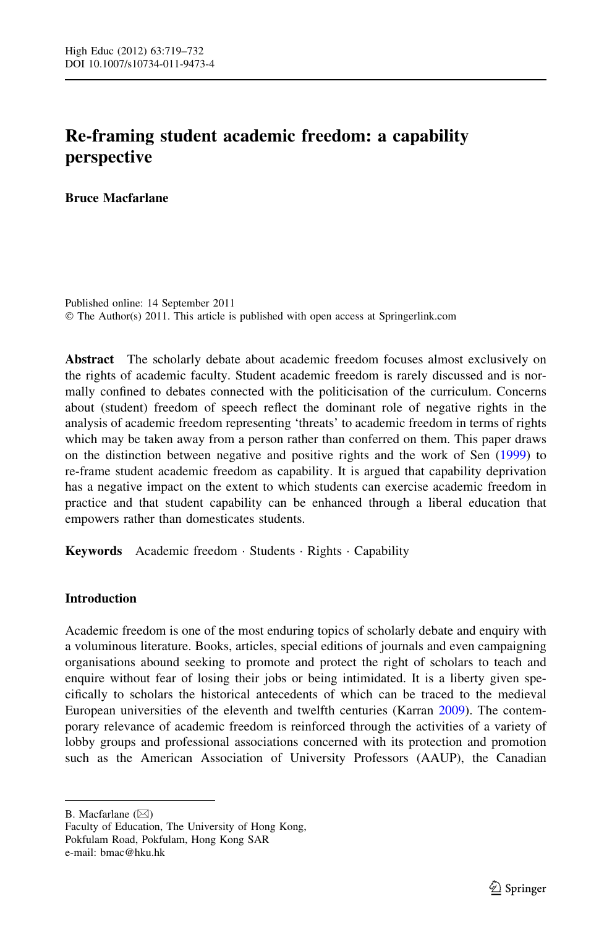# Re-framing student academic freedom: a capability perspective

Bruce Macfarlane

Published online: 14 September 2011 © The Author(s) 2011. This article is published with open access at Springerlink.com

Abstract The scholarly debate about academic freedom focuses almost exclusively on the rights of academic faculty. Student academic freedom is rarely discussed and is normally confined to debates connected with the politicisation of the curriculum. Concerns about (student) freedom of speech reflect the dominant role of negative rights in the analysis of academic freedom representing 'threats' to academic freedom in terms of rights which may be taken away from a person rather than conferred on them. This paper draws on the distinction between negative and positive rights and the work of Sen [\(1999](#page-13-0)) to re-frame student academic freedom as capability. It is argued that capability deprivation has a negative impact on the extent to which students can exercise academic freedom in practice and that student capability can be enhanced through a liberal education that empowers rather than domesticates students.

Keywords Academic freedom · Students · Rights · Capability

## Introduction

Academic freedom is one of the most enduring topics of scholarly debate and enquiry with a voluminous literature. Books, articles, special editions of journals and even campaigning organisations abound seeking to promote and protect the right of scholars to teach and enquire without fear of losing their jobs or being intimidated. It is a liberty given specifically to scholars the historical antecedents of which can be traced to the medieval European universities of the eleventh and twelfth centuries (Karran [2009](#page-12-0)). The contemporary relevance of academic freedom is reinforced through the activities of a variety of lobby groups and professional associations concerned with its protection and promotion such as the American Association of University Professors (AAUP), the Canadian

B. Macfarlane  $(\boxtimes)$ 

Faculty of Education, The University of Hong Kong, Pokfulam Road, Pokfulam, Hong Kong SAR e-mail: bmac@hku.hk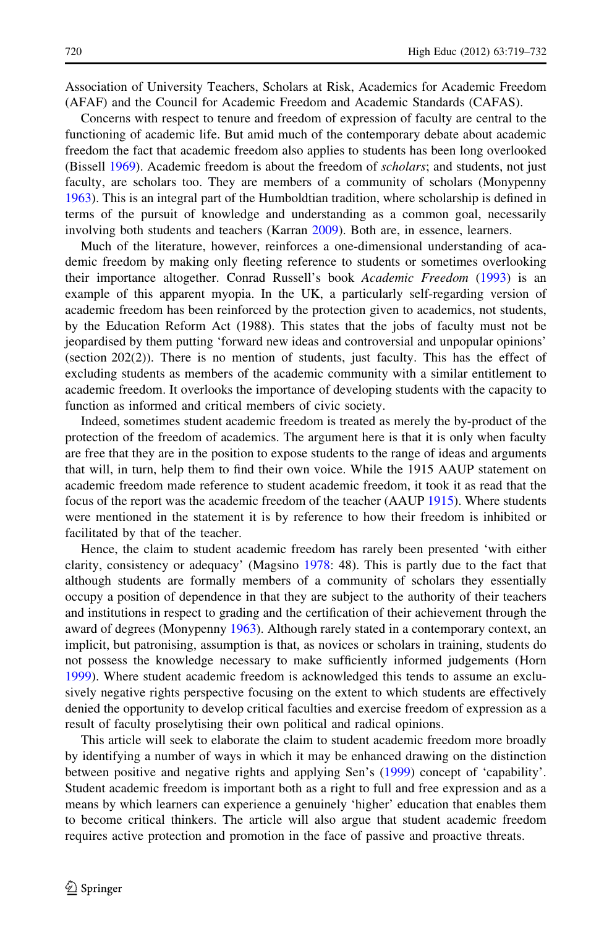Association of University Teachers, Scholars at Risk, Academics for Academic Freedom (AFAF) and the Council for Academic Freedom and Academic Standards (CAFAS).

Concerns with respect to tenure and freedom of expression of faculty are central to the functioning of academic life. But amid much of the contemporary debate about academic freedom the fact that academic freedom also applies to students has been long overlooked (Bissell [1969](#page-12-0)). Academic freedom is about the freedom of scholars; and students, not just faculty, are scholars too. They are members of a community of scholars (Monypenny [1963\)](#page-13-0). This is an integral part of the Humboldtian tradition, where scholarship is defined in terms of the pursuit of knowledge and understanding as a common goal, necessarily involving both students and teachers (Karran [2009](#page-12-0)). Both are, in essence, learners.

Much of the literature, however, reinforces a one-dimensional understanding of academic freedom by making only fleeting reference to students or sometimes overlooking their importance altogether. Conrad Russell's book Academic Freedom ([1993\)](#page-13-0) is an example of this apparent myopia. In the UK, a particularly self-regarding version of academic freedom has been reinforced by the protection given to academics, not students, by the Education Reform Act (1988). This states that the jobs of faculty must not be jeopardised by them putting 'forward new ideas and controversial and unpopular opinions' (section  $202(2)$ ). There is no mention of students, just faculty. This has the effect of excluding students as members of the academic community with a similar entitlement to academic freedom. It overlooks the importance of developing students with the capacity to function as informed and critical members of civic society.

Indeed, sometimes student academic freedom is treated as merely the by-product of the protection of the freedom of academics. The argument here is that it is only when faculty are free that they are in the position to expose students to the range of ideas and arguments that will, in turn, help them to find their own voice. While the 1915 AAUP statement on academic freedom made reference to student academic freedom, it took it as read that the focus of the report was the academic freedom of the teacher (AAUP [1915](#page-12-0)). Where students were mentioned in the statement it is by reference to how their freedom is inhibited or facilitated by that of the teacher.

Hence, the claim to student academic freedom has rarely been presented 'with either clarity, consistency or adequacy' (Magsino [1978](#page-13-0): 48). This is partly due to the fact that although students are formally members of a community of scholars they essentially occupy a position of dependence in that they are subject to the authority of their teachers and institutions in respect to grading and the certification of their achievement through the award of degrees (Monypenny [1963](#page-13-0)). Although rarely stated in a contemporary context, an implicit, but patronising, assumption is that, as novices or scholars in training, students do not possess the knowledge necessary to make sufficiently informed judgements (Horn [1999\)](#page-12-0). Where student academic freedom is acknowledged this tends to assume an exclusively negative rights perspective focusing on the extent to which students are effectively denied the opportunity to develop critical faculties and exercise freedom of expression as a result of faculty proselytising their own political and radical opinions.

This article will seek to elaborate the claim to student academic freedom more broadly by identifying a number of ways in which it may be enhanced drawing on the distinction between positive and negative rights and applying Sen's [\(1999\)](#page-13-0) concept of 'capability'. Student academic freedom is important both as a right to full and free expression and as a means by which learners can experience a genuinely 'higher' education that enables them to become critical thinkers. The article will also argue that student academic freedom requires active protection and promotion in the face of passive and proactive threats.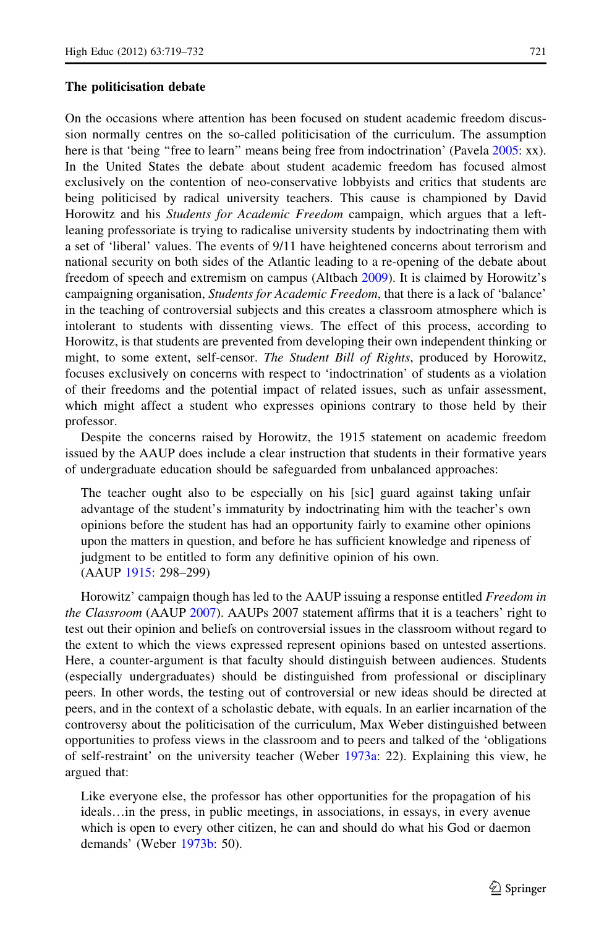## The politicisation debate

On the occasions where attention has been focused on student academic freedom discussion normally centres on the so-called politicisation of the curriculum. The assumption here is that 'being "free to learn" means being free from indoctrination' (Pavela [2005:](#page-13-0) xx). In the United States the debate about student academic freedom has focused almost exclusively on the contention of neo-conservative lobbyists and critics that students are being politicised by radical university teachers. This cause is championed by David Horowitz and his *Students for Academic Freedom* campaign, which argues that a leftleaning professoriate is trying to radicalise university students by indoctrinating them with a set of 'liberal' values. The events of 9/11 have heightened concerns about terrorism and national security on both sides of the Atlantic leading to a re-opening of the debate about freedom of speech and extremism on campus (Altbach [2009\)](#page-12-0). It is claimed by Horowitz's campaigning organisation, Students for Academic Freedom, that there is a lack of 'balance' in the teaching of controversial subjects and this creates a classroom atmosphere which is intolerant to students with dissenting views. The effect of this process, according to Horowitz, is that students are prevented from developing their own independent thinking or might, to some extent, self-censor. The Student Bill of Rights, produced by Horowitz, focuses exclusively on concerns with respect to 'indoctrination' of students as a violation of their freedoms and the potential impact of related issues, such as unfair assessment, which might affect a student who expresses opinions contrary to those held by their professor.

Despite the concerns raised by Horowitz, the 1915 statement on academic freedom issued by the AAUP does include a clear instruction that students in their formative years of undergraduate education should be safeguarded from unbalanced approaches:

The teacher ought also to be especially on his [sic] guard against taking unfair advantage of the student's immaturity by indoctrinating him with the teacher's own opinions before the student has had an opportunity fairly to examine other opinions upon the matters in question, and before he has sufficient knowledge and ripeness of judgment to be entitled to form any definitive opinion of his own. (AAUP [1915:](#page-12-0) 298–299)

Horowitz' campaign though has led to the AAUP issuing a response entitled Freedom in the Classroom (AAUP [2007](#page-12-0)). AAUPs 2007 statement affirms that it is a teachers' right to test out their opinion and beliefs on controversial issues in the classroom without regard to the extent to which the views expressed represent opinions based on untested assertions. Here, a counter-argument is that faculty should distinguish between audiences. Students (especially undergraduates) should be distinguished from professional or disciplinary peers. In other words, the testing out of controversial or new ideas should be directed at peers, and in the context of a scholastic debate, with equals. In an earlier incarnation of the controversy about the politicisation of the curriculum, Max Weber distinguished between opportunities to profess views in the classroom and to peers and talked of the 'obligations of self-restraint' on the university teacher (Weber [1973a:](#page-13-0) 22). Explaining this view, he argued that:

Like everyone else, the professor has other opportunities for the propagation of his ideals…in the press, in public meetings, in associations, in essays, in every avenue which is open to every other citizen, he can and should do what his God or daemon demands' (Weber [1973b](#page-13-0): 50).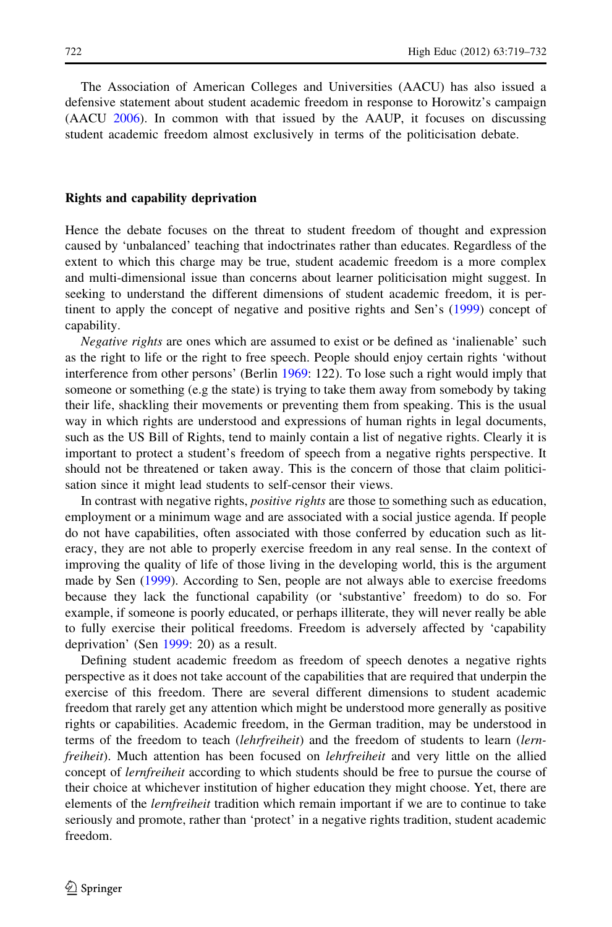The Association of American Colleges and Universities (AACU) has also issued a defensive statement about student academic freedom in response to Horowitz's campaign (AACU [2006](#page-12-0)). In common with that issued by the AAUP, it focuses on discussing student academic freedom almost exclusively in terms of the politicisation debate.

## Rights and capability deprivation

Hence the debate focuses on the threat to student freedom of thought and expression caused by 'unbalanced' teaching that indoctrinates rather than educates. Regardless of the extent to which this charge may be true, student academic freedom is a more complex and multi-dimensional issue than concerns about learner politicisation might suggest. In seeking to understand the different dimensions of student academic freedom, it is pertinent to apply the concept of negative and positive rights and Sen's ([1999\)](#page-13-0) concept of capability.

Negative rights are ones which are assumed to exist or be defined as 'inalienable' such as the right to life or the right to free speech. People should enjoy certain rights 'without interference from other persons' (Berlin [1969](#page-12-0): 122). To lose such a right would imply that someone or something (e.g the state) is trying to take them away from somebody by taking their life, shackling their movements or preventing them from speaking. This is the usual way in which rights are understood and expressions of human rights in legal documents, such as the US Bill of Rights, tend to mainly contain a list of negative rights. Clearly it is important to protect a student's freedom of speech from a negative rights perspective. It should not be threatened or taken away. This is the concern of those that claim politicisation since it might lead students to self-censor their views.

In contrast with negative rights, *positive rights* are those to something such as education, employment or a minimum wage and are associated with a social justice agenda. If people do not have capabilities, often associated with those conferred by education such as literacy, they are not able to properly exercise freedom in any real sense. In the context of improving the quality of life of those living in the developing world, this is the argument made by Sen ([1999\)](#page-13-0). According to Sen, people are not always able to exercise freedoms because they lack the functional capability (or 'substantive' freedom) to do so. For example, if someone is poorly educated, or perhaps illiterate, they will never really be able to fully exercise their political freedoms. Freedom is adversely affected by 'capability deprivation' (Sen [1999:](#page-13-0) 20) as a result.

Defining student academic freedom as freedom of speech denotes a negative rights perspective as it does not take account of the capabilities that are required that underpin the exercise of this freedom. There are several different dimensions to student academic freedom that rarely get any attention which might be understood more generally as positive rights or capabilities. Academic freedom, in the German tradition, may be understood in terms of the freedom to teach *(lehrfreiheit)* and the freedom of students to learn *(lern*freiheit). Much attention has been focused on *lehrfreiheit* and very little on the allied concept of lernfreiheit according to which students should be free to pursue the course of their choice at whichever institution of higher education they might choose. Yet, there are elements of the *lernfreiheit* tradition which remain important if we are to continue to take seriously and promote, rather than 'protect' in a negative rights tradition, student academic freedom.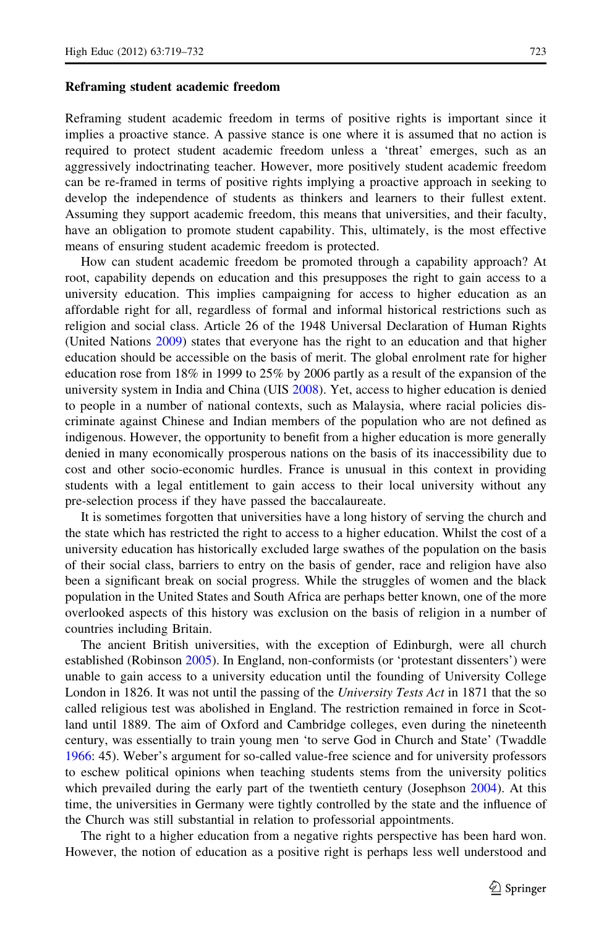#### Reframing student academic freedom

Reframing student academic freedom in terms of positive rights is important since it implies a proactive stance. A passive stance is one where it is assumed that no action is required to protect student academic freedom unless a 'threat' emerges, such as an aggressively indoctrinating teacher. However, more positively student academic freedom can be re-framed in terms of positive rights implying a proactive approach in seeking to develop the independence of students as thinkers and learners to their fullest extent. Assuming they support academic freedom, this means that universities, and their faculty, have an obligation to promote student capability. This, ultimately, is the most effective means of ensuring student academic freedom is protected.

How can student academic freedom be promoted through a capability approach? At root, capability depends on education and this presupposes the right to gain access to a university education. This implies campaigning for access to higher education as an affordable right for all, regardless of formal and informal historical restrictions such as religion and social class. Article 26 of the 1948 Universal Declaration of Human Rights (United Nations [2009\)](#page-13-0) states that everyone has the right to an education and that higher education should be accessible on the basis of merit. The global enrolment rate for higher education rose from 18% in 1999 to 25% by 2006 partly as a result of the expansion of the university system in India and China (UIS [2008](#page-13-0)). Yet, access to higher education is denied to people in a number of national contexts, such as Malaysia, where racial policies discriminate against Chinese and Indian members of the population who are not defined as indigenous. However, the opportunity to benefit from a higher education is more generally denied in many economically prosperous nations on the basis of its inaccessibility due to cost and other socio-economic hurdles. France is unusual in this context in providing students with a legal entitlement to gain access to their local university without any pre-selection process if they have passed the baccalaureate.

It is sometimes forgotten that universities have a long history of serving the church and the state which has restricted the right to access to a higher education. Whilst the cost of a university education has historically excluded large swathes of the population on the basis of their social class, barriers to entry on the basis of gender, race and religion have also been a significant break on social progress. While the struggles of women and the black population in the United States and South Africa are perhaps better known, one of the more overlooked aspects of this history was exclusion on the basis of religion in a number of countries including Britain.

The ancient British universities, with the exception of Edinburgh, were all church established (Robinson [2005](#page-13-0)). In England, non-conformists (or 'protestant dissenters') were unable to gain access to a university education until the founding of University College London in 1826. It was not until the passing of the University Tests Act in 1871 that the so called religious test was abolished in England. The restriction remained in force in Scotland until 1889. The aim of Oxford and Cambridge colleges, even during the nineteenth century, was essentially to train young men 'to serve God in Church and State' (Twaddle [1966:](#page-13-0) 45). Weber's argument for so-called value-free science and for university professors to eschew political opinions when teaching students stems from the university politics which prevailed during the early part of the twentieth century (Josephson [2004](#page-12-0)). At this time, the universities in Germany were tightly controlled by the state and the influence of the Church was still substantial in relation to professorial appointments.

The right to a higher education from a negative rights perspective has been hard won. However, the notion of education as a positive right is perhaps less well understood and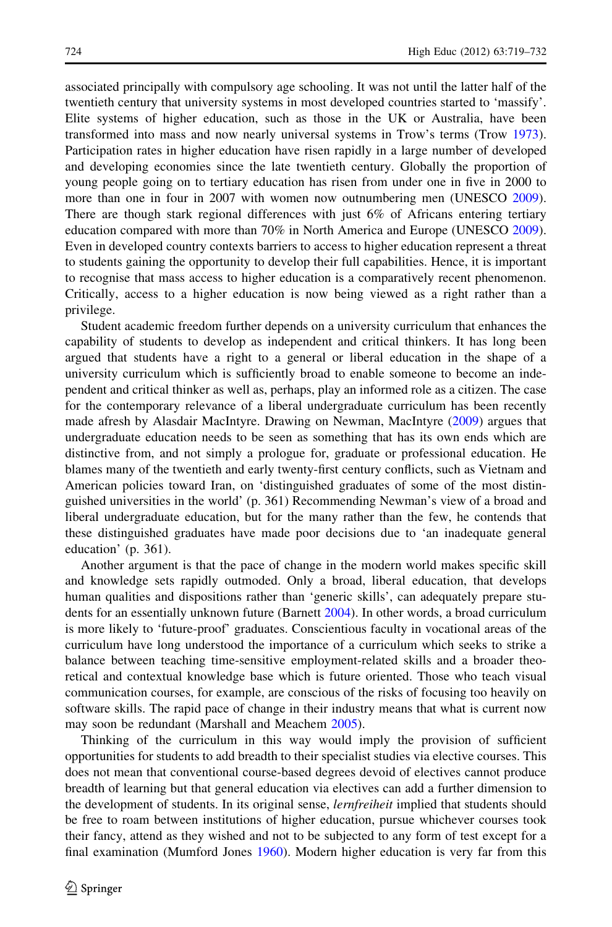associated principally with compulsory age schooling. It was not until the latter half of the twentieth century that university systems in most developed countries started to 'massify'. Elite systems of higher education, such as those in the UK or Australia, have been transformed into mass and now nearly universal systems in Trow's terms (Trow [1973](#page-13-0)). Participation rates in higher education have risen rapidly in a large number of developed and developing economies since the late twentieth century. Globally the proportion of young people going on to tertiary education has risen from under one in five in 2000 to more than one in four in 2007 with women now outnumbering men (UNESCO [2009](#page-13-0)). There are though stark regional differences with just 6% of Africans entering tertiary education compared with more than 70% in North America and Europe (UNESCO [2009](#page-13-0)). Even in developed country contexts barriers to access to higher education represent a threat to students gaining the opportunity to develop their full capabilities. Hence, it is important to recognise that mass access to higher education is a comparatively recent phenomenon. Critically, access to a higher education is now being viewed as a right rather than a privilege.

Student academic freedom further depends on a university curriculum that enhances the capability of students to develop as independent and critical thinkers. It has long been argued that students have a right to a general or liberal education in the shape of a university curriculum which is sufficiently broad to enable someone to become an independent and critical thinker as well as, perhaps, play an informed role as a citizen. The case for the contemporary relevance of a liberal undergraduate curriculum has been recently made afresh by Alasdair MacIntyre. Drawing on Newman, MacIntyre ([2009\)](#page-13-0) argues that undergraduate education needs to be seen as something that has its own ends which are distinctive from, and not simply a prologue for, graduate or professional education. He blames many of the twentieth and early twenty-first century conflicts, such as Vietnam and American policies toward Iran, on 'distinguished graduates of some of the most distinguished universities in the world' (p. 361) Recommending Newman's view of a broad and liberal undergraduate education, but for the many rather than the few, he contends that these distinguished graduates have made poor decisions due to 'an inadequate general education' (p. 361).

Another argument is that the pace of change in the modern world makes specific skill and knowledge sets rapidly outmoded. Only a broad, liberal education, that develops human qualities and dispositions rather than 'generic skills', can adequately prepare students for an essentially unknown future (Barnett [2004](#page-12-0)). In other words, a broad curriculum is more likely to 'future-proof' graduates. Conscientious faculty in vocational areas of the curriculum have long understood the importance of a curriculum which seeks to strike a balance between teaching time-sensitive employment-related skills and a broader theoretical and contextual knowledge base which is future oriented. Those who teach visual communication courses, for example, are conscious of the risks of focusing too heavily on software skills. The rapid pace of change in their industry means that what is current now may soon be redundant (Marshall and Meachem [2005\)](#page-13-0).

Thinking of the curriculum in this way would imply the provision of sufficient opportunities for students to add breadth to their specialist studies via elective courses. This does not mean that conventional course-based degrees devoid of electives cannot produce breadth of learning but that general education via electives can add a further dimension to the development of students. In its original sense, *lernfreiheit* implied that students should be free to roam between institutions of higher education, pursue whichever courses took their fancy, attend as they wished and not to be subjected to any form of test except for a final examination (Mumford Jones [1960](#page-13-0)). Modern higher education is very far from this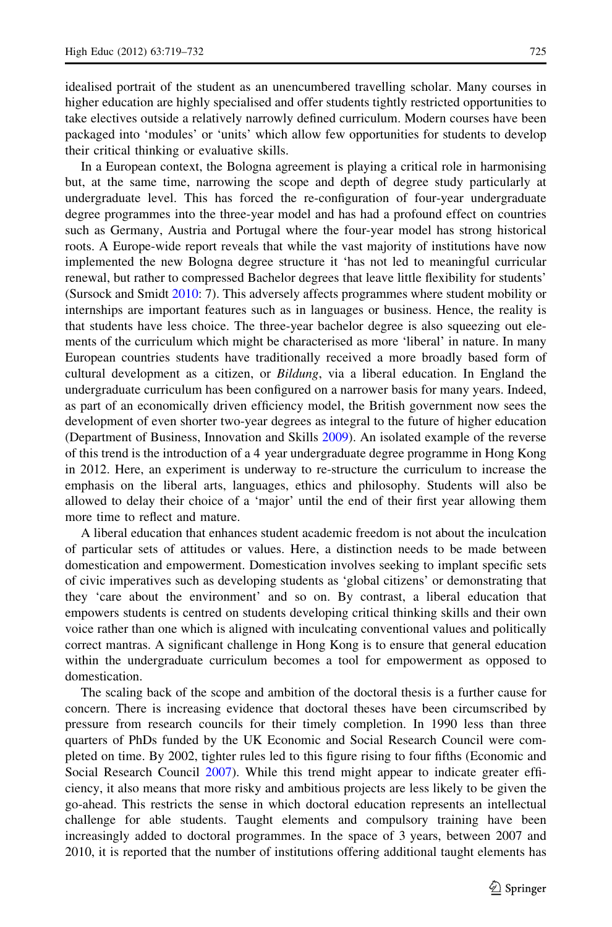idealised portrait of the student as an unencumbered travelling scholar. Many courses in higher education are highly specialised and offer students tightly restricted opportunities to take electives outside a relatively narrowly defined curriculum. Modern courses have been packaged into 'modules' or 'units' which allow few opportunities for students to develop their critical thinking or evaluative skills.

In a European context, the Bologna agreement is playing a critical role in harmonising but, at the same time, narrowing the scope and depth of degree study particularly at undergraduate level. This has forced the re-configuration of four-year undergraduate degree programmes into the three-year model and has had a profound effect on countries such as Germany, Austria and Portugal where the four-year model has strong historical roots. A Europe-wide report reveals that while the vast majority of institutions have now implemented the new Bologna degree structure it 'has not led to meaningful curricular renewal, but rather to compressed Bachelor degrees that leave little flexibility for students' (Sursock and Smidt [2010:](#page-13-0) 7). This adversely affects programmes where student mobility or internships are important features such as in languages or business. Hence, the reality is that students have less choice. The three-year bachelor degree is also squeezing out elements of the curriculum which might be characterised as more 'liberal' in nature. In many European countries students have traditionally received a more broadly based form of cultural development as a citizen, or Bildung, via a liberal education. In England the undergraduate curriculum has been configured on a narrower basis for many years. Indeed, as part of an economically driven efficiency model, the British government now sees the development of even shorter two-year degrees as integral to the future of higher education (Department of Business, Innovation and Skills [2009](#page-12-0)). An isolated example of the reverse of this trend is the introduction of a 4 year undergraduate degree programme in Hong Kong in 2012. Here, an experiment is underway to re-structure the curriculum to increase the emphasis on the liberal arts, languages, ethics and philosophy. Students will also be allowed to delay their choice of a 'major' until the end of their first year allowing them more time to reflect and mature.

A liberal education that enhances student academic freedom is not about the inculcation of particular sets of attitudes or values. Here, a distinction needs to be made between domestication and empowerment. Domestication involves seeking to implant specific sets of civic imperatives such as developing students as 'global citizens' or demonstrating that they 'care about the environment' and so on. By contrast, a liberal education that empowers students is centred on students developing critical thinking skills and their own voice rather than one which is aligned with inculcating conventional values and politically correct mantras. A significant challenge in Hong Kong is to ensure that general education within the undergraduate curriculum becomes a tool for empowerment as opposed to domestication.

The scaling back of the scope and ambition of the doctoral thesis is a further cause for concern. There is increasing evidence that doctoral theses have been circumscribed by pressure from research councils for their timely completion. In 1990 less than three quarters of PhDs funded by the UK Economic and Social Research Council were completed on time. By 2002, tighter rules led to this figure rising to four fifths (Economic and Social Research Council [2007\)](#page-12-0). While this trend might appear to indicate greater efficiency, it also means that more risky and ambitious projects are less likely to be given the go-ahead. This restricts the sense in which doctoral education represents an intellectual challenge for able students. Taught elements and compulsory training have been increasingly added to doctoral programmes. In the space of 3 years, between 2007 and 2010, it is reported that the number of institutions offering additional taught elements has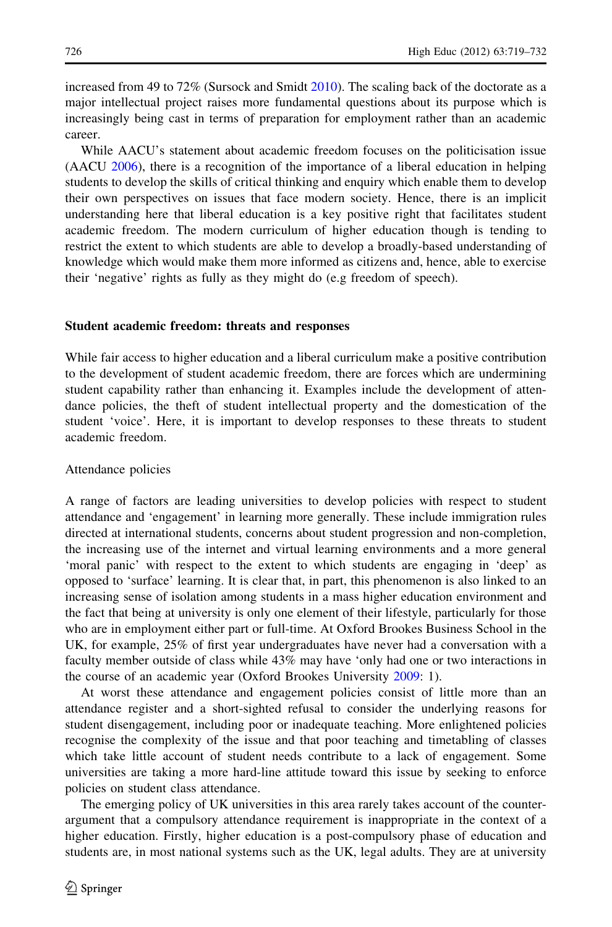increased from 49 to  $72\%$  (Sursock and Smidt [2010](#page-13-0)). The scaling back of the doctorate as a major intellectual project raises more fundamental questions about its purpose which is increasingly being cast in terms of preparation for employment rather than an academic career.

While AACU's statement about academic freedom focuses on the politicisation issue (AACU [2006\)](#page-12-0), there is a recognition of the importance of a liberal education in helping students to develop the skills of critical thinking and enquiry which enable them to develop their own perspectives on issues that face modern society. Hence, there is an implicit understanding here that liberal education is a key positive right that facilitates student academic freedom. The modern curriculum of higher education though is tending to restrict the extent to which students are able to develop a broadly-based understanding of knowledge which would make them more informed as citizens and, hence, able to exercise their 'negative' rights as fully as they might do (e.g freedom of speech).

#### Student academic freedom: threats and responses

While fair access to higher education and a liberal curriculum make a positive contribution to the development of student academic freedom, there are forces which are undermining student capability rather than enhancing it. Examples include the development of attendance policies, the theft of student intellectual property and the domestication of the student 'voice'. Here, it is important to develop responses to these threats to student academic freedom.

## Attendance policies

A range of factors are leading universities to develop policies with respect to student attendance and 'engagement' in learning more generally. These include immigration rules directed at international students, concerns about student progression and non-completion, the increasing use of the internet and virtual learning environments and a more general 'moral panic' with respect to the extent to which students are engaging in 'deep' as opposed to 'surface' learning. It is clear that, in part, this phenomenon is also linked to an increasing sense of isolation among students in a mass higher education environment and the fact that being at university is only one element of their lifestyle, particularly for those who are in employment either part or full-time. At Oxford Brookes Business School in the UK, for example, 25% of first year undergraduates have never had a conversation with a faculty member outside of class while 43% may have 'only had one or two interactions in the course of an academic year (Oxford Brookes University [2009:](#page-13-0) 1).

At worst these attendance and engagement policies consist of little more than an attendance register and a short-sighted refusal to consider the underlying reasons for student disengagement, including poor or inadequate teaching. More enlightened policies recognise the complexity of the issue and that poor teaching and timetabling of classes which take little account of student needs contribute to a lack of engagement. Some universities are taking a more hard-line attitude toward this issue by seeking to enforce policies on student class attendance.

The emerging policy of UK universities in this area rarely takes account of the counterargument that a compulsory attendance requirement is inappropriate in the context of a higher education. Firstly, higher education is a post-compulsory phase of education and students are, in most national systems such as the UK, legal adults. They are at university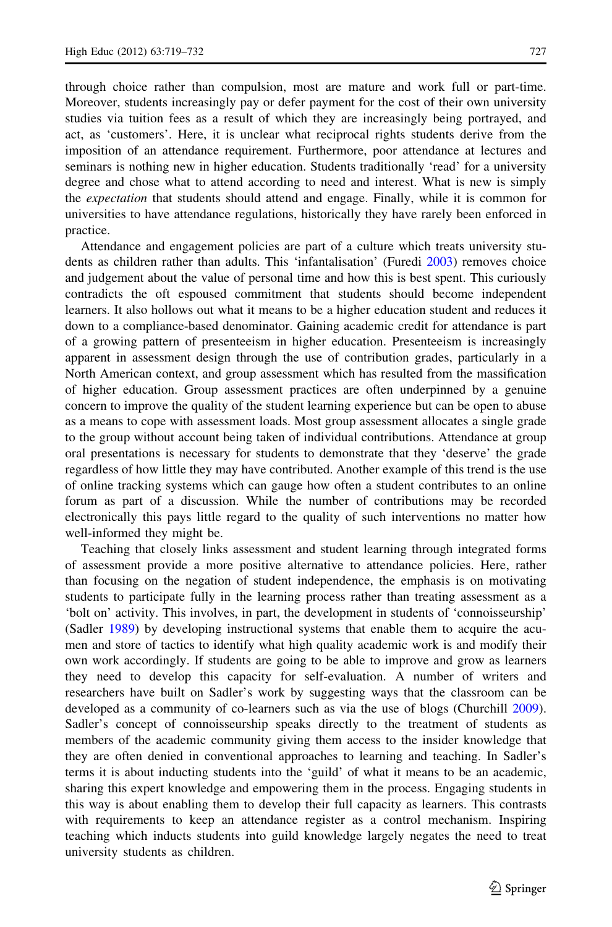through choice rather than compulsion, most are mature and work full or part-time. Moreover, students increasingly pay or defer payment for the cost of their own university

studies via tuition fees as a result of which they are increasingly being portrayed, and act, as 'customers'. Here, it is unclear what reciprocal rights students derive from the imposition of an attendance requirement. Furthermore, poor attendance at lectures and seminars is nothing new in higher education. Students traditionally 'read' for a university degree and chose what to attend according to need and interest. What is new is simply the *expectation* that students should attend and engage. Finally, while it is common for universities to have attendance regulations, historically they have rarely been enforced in practice.

Attendance and engagement policies are part of a culture which treats university students as children rather than adults. This 'infantalisation' (Furedi [2003](#page-12-0)) removes choice and judgement about the value of personal time and how this is best spent. This curiously contradicts the oft espoused commitment that students should become independent learners. It also hollows out what it means to be a higher education student and reduces it down to a compliance-based denominator. Gaining academic credit for attendance is part of a growing pattern of presenteeism in higher education. Presenteeism is increasingly apparent in assessment design through the use of contribution grades, particularly in a North American context, and group assessment which has resulted from the massification of higher education. Group assessment practices are often underpinned by a genuine concern to improve the quality of the student learning experience but can be open to abuse as a means to cope with assessment loads. Most group assessment allocates a single grade to the group without account being taken of individual contributions. Attendance at group oral presentations is necessary for students to demonstrate that they 'deserve' the grade regardless of how little they may have contributed. Another example of this trend is the use of online tracking systems which can gauge how often a student contributes to an online forum as part of a discussion. While the number of contributions may be recorded electronically this pays little regard to the quality of such interventions no matter how well-informed they might be.

Teaching that closely links assessment and student learning through integrated forms of assessment provide a more positive alternative to attendance policies. Here, rather than focusing on the negation of student independence, the emphasis is on motivating students to participate fully in the learning process rather than treating assessment as a 'bolt on' activity. This involves, in part, the development in students of 'connoisseurship' (Sadler [1989\)](#page-13-0) by developing instructional systems that enable them to acquire the acumen and store of tactics to identify what high quality academic work is and modify their own work accordingly. If students are going to be able to improve and grow as learners they need to develop this capacity for self-evaluation. A number of writers and researchers have built on Sadler's work by suggesting ways that the classroom can be developed as a community of co-learners such as via the use of blogs (Churchill [2009](#page-12-0)). Sadler's concept of connoisseurship speaks directly to the treatment of students as members of the academic community giving them access to the insider knowledge that they are often denied in conventional approaches to learning and teaching. In Sadler's terms it is about inducting students into the 'guild' of what it means to be an academic, sharing this expert knowledge and empowering them in the process. Engaging students in this way is about enabling them to develop their full capacity as learners. This contrasts with requirements to keep an attendance register as a control mechanism. Inspiring teaching which inducts students into guild knowledge largely negates the need to treat university students as children.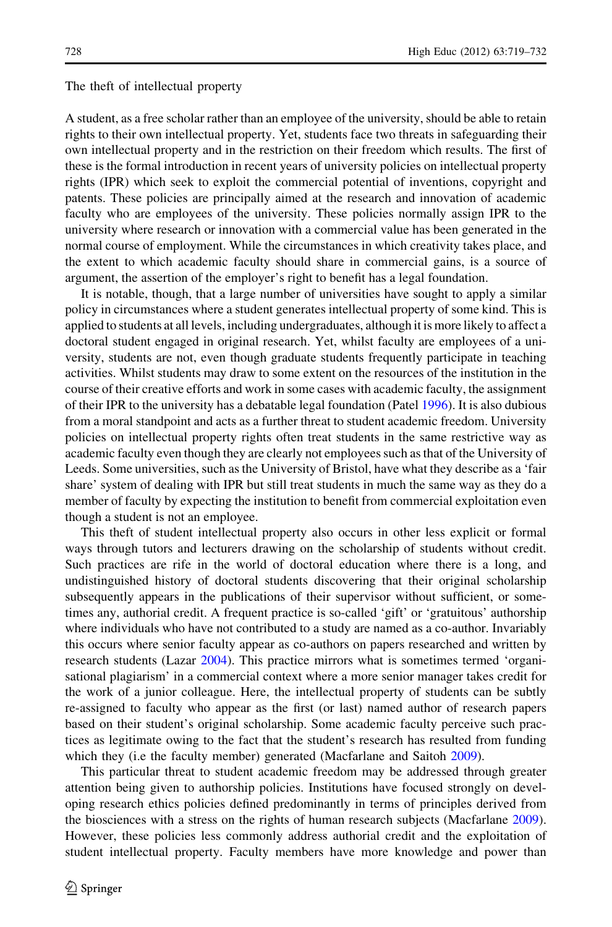#### The theft of intellectual property

A student, as a free scholar rather than an employee of the university, should be able to retain rights to their own intellectual property. Yet, students face two threats in safeguarding their own intellectual property and in the restriction on their freedom which results. The first of these is the formal introduction in recent years of university policies on intellectual property rights (IPR) which seek to exploit the commercial potential of inventions, copyright and patents. These policies are principally aimed at the research and innovation of academic faculty who are employees of the university. These policies normally assign IPR to the university where research or innovation with a commercial value has been generated in the normal course of employment. While the circumstances in which creativity takes place, and the extent to which academic faculty should share in commercial gains, is a source of argument, the assertion of the employer's right to benefit has a legal foundation.

It is notable, though, that a large number of universities have sought to apply a similar policy in circumstances where a student generates intellectual property of some kind. This is applied to students at all levels, including undergraduates, although it is more likely to affect a doctoral student engaged in original research. Yet, whilst faculty are employees of a university, students are not, even though graduate students frequently participate in teaching activities. Whilst students may draw to some extent on the resources of the institution in the course of their creative efforts and work in some cases with academic faculty, the assignment of their IPR to the university has a debatable legal foundation (Patel [1996\)](#page-13-0). It is also dubious from a moral standpoint and acts as a further threat to student academic freedom. University policies on intellectual property rights often treat students in the same restrictive way as academic faculty even though they are clearly not employees such as that of the University of Leeds. Some universities, such as the University of Bristol, have what they describe as a 'fair share' system of dealing with IPR but still treat students in much the same way as they do a member of faculty by expecting the institution to benefit from commercial exploitation even though a student is not an employee.

This theft of student intellectual property also occurs in other less explicit or formal ways through tutors and lecturers drawing on the scholarship of students without credit. Such practices are rife in the world of doctoral education where there is a long, and undistinguished history of doctoral students discovering that their original scholarship subsequently appears in the publications of their supervisor without sufficient, or sometimes any, authorial credit. A frequent practice is so-called 'gift' or 'gratuitous' authorship where individuals who have not contributed to a study are named as a co-author. Invariably this occurs where senior faculty appear as co-authors on papers researched and written by research students (Lazar [2004](#page-13-0)). This practice mirrors what is sometimes termed 'organisational plagiarism' in a commercial context where a more senior manager takes credit for the work of a junior colleague. Here, the intellectual property of students can be subtly re-assigned to faculty who appear as the first (or last) named author of research papers based on their student's original scholarship. Some academic faculty perceive such practices as legitimate owing to the fact that the student's research has resulted from funding which they (i.e the faculty member) generated (Macfarlane and Saitoh [2009\)](#page-13-0).

This particular threat to student academic freedom may be addressed through greater attention being given to authorship policies. Institutions have focused strongly on developing research ethics policies defined predominantly in terms of principles derived from the biosciences with a stress on the rights of human research subjects (Macfarlane [2009](#page-13-0)). However, these policies less commonly address authorial credit and the exploitation of student intellectual property. Faculty members have more knowledge and power than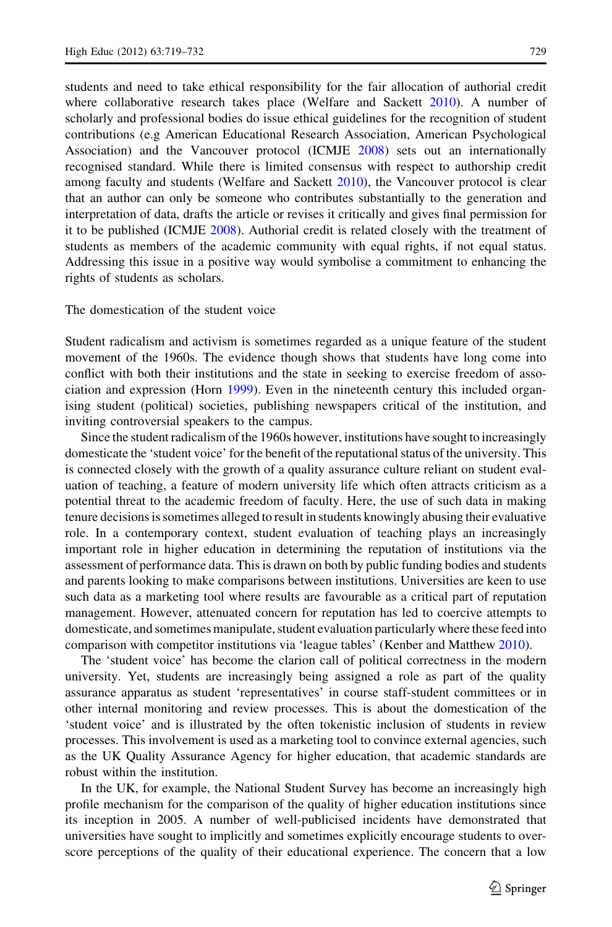students and need to take ethical responsibility for the fair allocation of authorial credit

where collaborative research takes place (Welfare and Sackett [2010\)](#page-13-0). A number of scholarly and professional bodies do issue ethical guidelines for the recognition of student contributions (e.g American Educational Research Association, American Psychological Association) and the Vancouver protocol (ICMJE [2008](#page-12-0)) sets out an internationally recognised standard. While there is limited consensus with respect to authorship credit among faculty and students (Welfare and Sackett [2010](#page-13-0)), the Vancouver protocol is clear that an author can only be someone who contributes substantially to the generation and interpretation of data, drafts the article or revises it critically and gives final permission for it to be published (ICMJE [2008](#page-12-0)). Authorial credit is related closely with the treatment of students as members of the academic community with equal rights, if not equal status. Addressing this issue in a positive way would symbolise a commitment to enhancing the rights of students as scholars.

The domestication of the student voice

Student radicalism and activism is sometimes regarded as a unique feature of the student movement of the 1960s. The evidence though shows that students have long come into conflict with both their institutions and the state in seeking to exercise freedom of association and expression (Horn [1999](#page-12-0)). Even in the nineteenth century this included organising student (political) societies, publishing newspapers critical of the institution, and inviting controversial speakers to the campus.

Since the student radicalism of the 1960s however, institutions have sought to increasingly domesticate the 'student voice' for the benefit of the reputational status of the university. This is connected closely with the growth of a quality assurance culture reliant on student evaluation of teaching, a feature of modern university life which often attracts criticism as a potential threat to the academic freedom of faculty. Here, the use of such data in making tenure decisions is sometimes alleged to result in students knowingly abusing their evaluative role. In a contemporary context, student evaluation of teaching plays an increasingly important role in higher education in determining the reputation of institutions via the assessment of performance data. This is drawn on both by public funding bodies and students and parents looking to make comparisons between institutions. Universities are keen to use such data as a marketing tool where results are favourable as a critical part of reputation management. However, attenuated concern for reputation has led to coercive attempts to domesticate, and sometimes manipulate, student evaluation particularly where these feed into comparison with competitor institutions via 'league tables' (Kenber and Matthew [2010](#page-13-0)).

The 'student voice' has become the clarion call of political correctness in the modern university. Yet, students are increasingly being assigned a role as part of the quality assurance apparatus as student 'representatives' in course staff-student committees or in other internal monitoring and review processes. This is about the domestication of the 'student voice' and is illustrated by the often tokenistic inclusion of students in review processes. This involvement is used as a marketing tool to convince external agencies, such as the UK Quality Assurance Agency for higher education, that academic standards are robust within the institution.

In the UK, for example, the National Student Survey has become an increasingly high profile mechanism for the comparison of the quality of higher education institutions since its inception in 2005. A number of well-publicised incidents have demonstrated that universities have sought to implicitly and sometimes explicitly encourage students to overscore perceptions of the quality of their educational experience. The concern that a low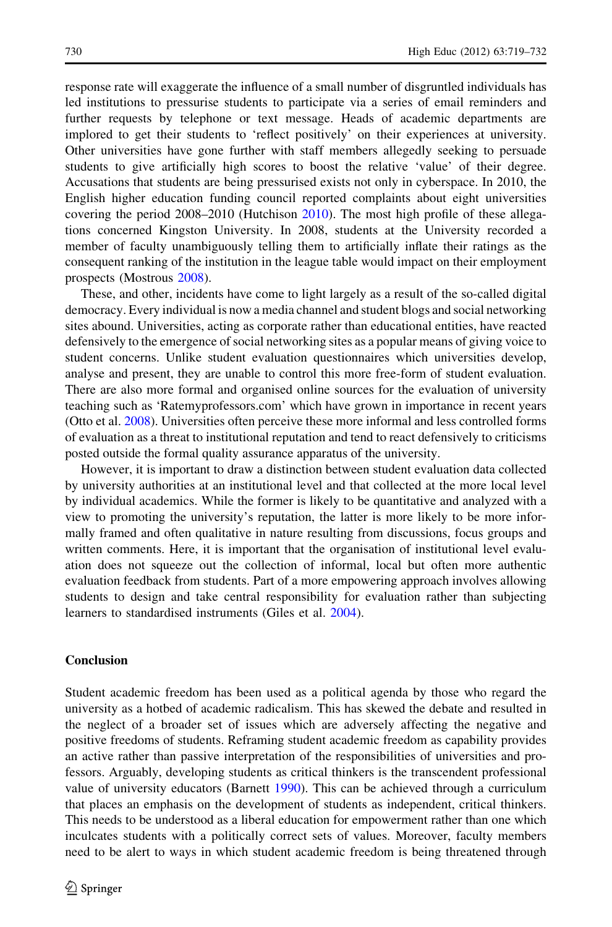response rate will exaggerate the influence of a small number of disgruntled individuals has led institutions to pressurise students to participate via a series of email reminders and further requests by telephone or text message. Heads of academic departments are implored to get their students to 'reflect positively' on their experiences at university. Other universities have gone further with staff members allegedly seeking to persuade students to give artificially high scores to boost the relative 'value' of their degree. Accusations that students are being pressurised exists not only in cyberspace. In 2010, the English higher education funding council reported complaints about eight universities covering the period 2008–2010 (Hutchison [2010\)](#page-12-0). The most high profile of these allegations concerned Kingston University. In 2008, students at the University recorded a member of faculty unambiguously telling them to artificially inflate their ratings as the consequent ranking of the institution in the league table would impact on their employment prospects (Mostrous [2008\)](#page-13-0).

These, and other, incidents have come to light largely as a result of the so-called digital democracy. Every individual is now a media channel and student blogs and social networking sites abound. Universities, acting as corporate rather than educational entities, have reacted defensively to the emergence of social networking sites as a popular means of giving voice to student concerns. Unlike student evaluation questionnaires which universities develop, analyse and present, they are unable to control this more free-form of student evaluation. There are also more formal and organised online sources for the evaluation of university teaching such as 'Ratemyprofessors.com' which have grown in importance in recent years (Otto et al. [2008](#page-13-0)). Universities often perceive these more informal and less controlled forms of evaluation as a threat to institutional reputation and tend to react defensively to criticisms posted outside the formal quality assurance apparatus of the university.

However, it is important to draw a distinction between student evaluation data collected by university authorities at an institutional level and that collected at the more local level by individual academics. While the former is likely to be quantitative and analyzed with a view to promoting the university's reputation, the latter is more likely to be more informally framed and often qualitative in nature resulting from discussions, focus groups and written comments. Here, it is important that the organisation of institutional level evaluation does not squeeze out the collection of informal, local but often more authentic evaluation feedback from students. Part of a more empowering approach involves allowing students to design and take central responsibility for evaluation rather than subjecting learners to standardised instruments (Giles et al. [2004](#page-12-0)).

## Conclusion

Student academic freedom has been used as a political agenda by those who regard the university as a hotbed of academic radicalism. This has skewed the debate and resulted in the neglect of a broader set of issues which are adversely affecting the negative and positive freedoms of students. Reframing student academic freedom as capability provides an active rather than passive interpretation of the responsibilities of universities and professors. Arguably, developing students as critical thinkers is the transcendent professional value of university educators (Barnett [1990\)](#page-12-0). This can be achieved through a curriculum that places an emphasis on the development of students as independent, critical thinkers. This needs to be understood as a liberal education for empowerment rather than one which inculcates students with a politically correct sets of values. Moreover, faculty members need to be alert to ways in which student academic freedom is being threatened through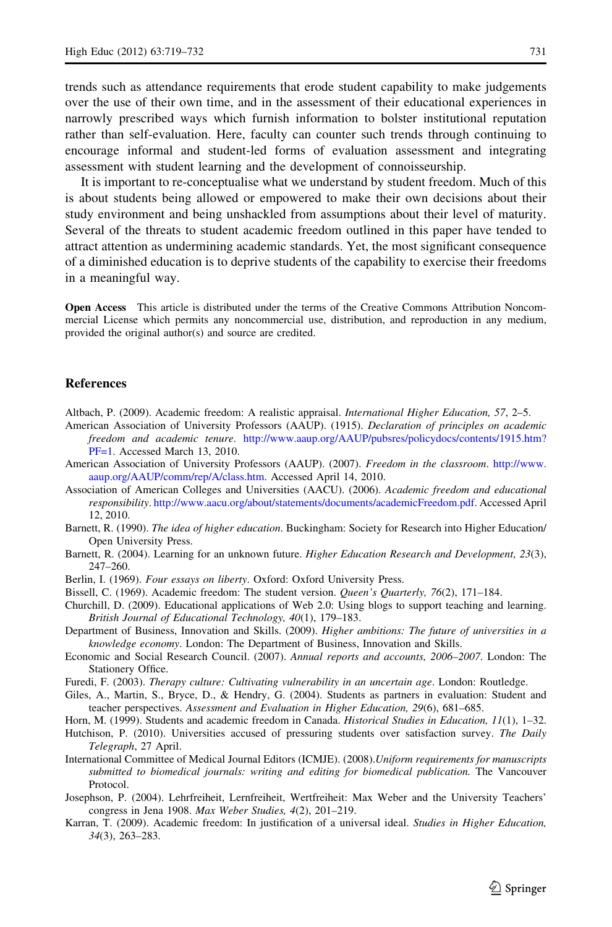<span id="page-12-0"></span>trends such as attendance requirements that erode student capability to make judgements over the use of their own time, and in the assessment of their educational experiences in narrowly prescribed ways which furnish information to bolster institutional reputation rather than self-evaluation. Here, faculty can counter such trends through continuing to encourage informal and student-led forms of evaluation assessment and integrating assessment with student learning and the development of connoisseurship.

It is important to re-conceptualise what we understand by student freedom. Much of this is about students being allowed or empowered to make their own decisions about their study environment and being unshackled from assumptions about their level of maturity. Several of the threats to student academic freedom outlined in this paper have tended to attract attention as undermining academic standards. Yet, the most significant consequence of a diminished education is to deprive students of the capability to exercise their freedoms in a meaningful way.

Open Access This article is distributed under the terms of the Creative Commons Attribution Noncommercial License which permits any noncommercial use, distribution, and reproduction in any medium, provided the original author(s) and source are credited.

### **References**

- Altbach, P. (2009). Academic freedom: A realistic appraisal. International Higher Education, 57, 2–5.
- American Association of University Professors (AAUP). (1915). Declaration of principles on academic freedom and academic tenure. [http://www.aaup.org/AAUP/pubsres/policydocs/contents/1915.htm?](http://www.aaup.org/AAUP/pubsres/policydocs/contents/1915.htm?PF=1) [PF=1](http://www.aaup.org/AAUP/pubsres/policydocs/contents/1915.htm?PF=1). Accessed March 13, 2010.
- American Association of University Professors (AAUP). (2007). Freedom in the classroom. [http://www.](http://www.aaup.org/AAUP/comm/rep/A/class.htm) [aaup.org/AAUP/comm/rep/A/class.htm.](http://www.aaup.org/AAUP/comm/rep/A/class.htm) Accessed April 14, 2010.
- Association of American Colleges and Universities (AACU). (2006). Academic freedom and educational responsibility. [http://www.aacu.org/about/statements/documents/academicFreedom.pdf.](http://www.aacu.org/about/statements/documents/academicFreedom.pdf) Accessed April 12, 2010.
- Barnett, R. (1990). The idea of higher education. Buckingham: Society for Research into Higher Education/ Open University Press.
- Barnett, R. (2004). Learning for an unknown future. Higher Education Research and Development, 23(3), 247–260.
- Berlin, I. (1969). Four essays on liberty. Oxford: Oxford University Press.
- Bissell, C. (1969). Academic freedom: The student version. Queen's Quarterly, 76(2), 171–184.
- Churchill, D. (2009). Educational applications of Web 2.0: Using blogs to support teaching and learning. British Journal of Educational Technology, 40(1), 179–183.
- Department of Business, Innovation and Skills. (2009). Higher ambitions: The future of universities in a knowledge economy. London: The Department of Business, Innovation and Skills.
- Economic and Social Research Council. (2007). Annual reports and accounts, 2006–2007. London: The Stationery Office.
- Furedi, F. (2003). Therapy culture: Cultivating vulnerability in an uncertain age. London: Routledge.
- Giles, A., Martin, S., Bryce, D., & Hendry, G. (2004). Students as partners in evaluation: Student and teacher perspectives. Assessment and Evaluation in Higher Education, 29(6), 681–685.
- Horn, M. (1999). Students and academic freedom in Canada. Historical Studies in Education, 11(1), 1-32.
- Hutchison, P. (2010). Universities accused of pressuring students over satisfaction survey. The Daily Telegraph, 27 April.
- International Committee of Medical Journal Editors (ICMJE). (2008).Uniform requirements for manuscripts submitted to biomedical journals: writing and editing for biomedical publication. The Vancouver Protocol.
- Josephson, P. (2004). Lehrfreiheit, Lernfreiheit, Wertfreiheit: Max Weber and the University Teachers' congress in Jena 1908. Max Weber Studies, 4(2), 201–219.
- Karran, T. (2009). Academic freedom: In justification of a universal ideal. Studies in Higher Education, 34(3), 263–283.